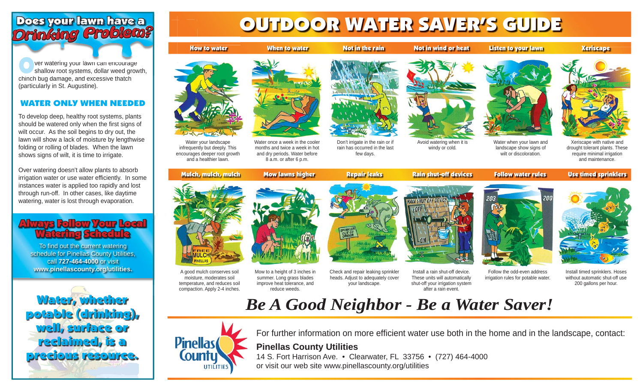## Does your lawn have *Drinking Problem? inking*

**Outernal watering your lawn can encourage shallow root systems, dollar weed growth,** chinch bug damage, and excessive thatch (particularly in St. Augustine). ver watering your lawn can encourage

### WATER ONLY WHEN NEEDED

To develop deep, healthy root systems, plants should be watered only when the first signs of wilt occur. As the soil begins to dry out, the lawn will show a lack of moisture by lengthwise folding or rolling of blades. When the lawn shows signs of wilt, it is time to irrigate.

Over watering doesn't allow plants to absorb irrigation water or use water efficiently. In some instances water is applied too rapidly and lost through run-off. In other cases, like daytime watering, water is lost through evaporation.

## **Always Follow Your Local Watering Schedule**

To find out the current watering schedule for Pinellas County Utilities, call **727-464-4000** or visit **www.pinellascounty.org/utilities.**



# Does your lawn have a street of the OUTDOOR WATER SAVER'S GUIDE

When to water Not in the rain Not in wind or heat Listen to your lawn Xeriscape



Water your landscape infrequently but deeply. This encourages deeper root growth and a healthier lawn.

How

Water once a week in the cooler months and twice a week in hot and dry periods. Water before 8 a.m. or after 6 p.m. Don't irrigate in the rain or if rain has occurred in the last few days.



Avoid watering when it is windy or cold.





Water when your lawn and landscape show signs of wilt or discoloration.

Xeriscape with native and drought tolerant plants. These require minimal irrigation and maintenance.

Mulch, mulch, mulch Mow lawns higher Repair leaks Rain shut-off devices Follow water rules Use timed sprinklers



reduce weeds.

A good mulch conserves soil moisture, moderates soil temperature, and reduces soil compaction. Apply 2-4 inches. Mow to a height of 3 inches in summer. Long grass blades improve heat tolerance, and

Check and repair leaking sprinkler heads. Adjust to adequately cover your landscape.



Install a rain shut-off device. These units will automatically shut-off your irrigation system after a rain event.





Follow the odd-even address irrigation rules for potable water.

Install timed sprinklers. Hoses without automatic shut-off use 200 gallons per hour.

## *Be A Good Neighbor - Be a Water Saver!*



For further information on more efficient water use both in the home and in the landscape, contact:

## **Pinellas County Utilities**

14 S. Fort Harrison Ave. • Clearwater, FL 33756 • (727) 464-4000 or visit our web site www.pinellascounty.org/utilities